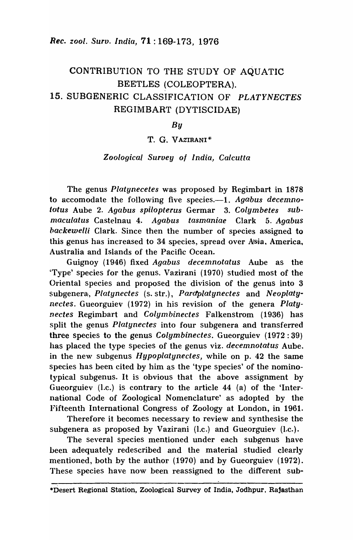# CONTRIBUTION TO THE STUDY OF AQUATIC BEETLES (COLEOPTERA). 15. SUBGENERIC CLASSIFICATION OF *PLATYNECTES*  REGIMBART (DYTISCIDAE)

*By* 

### T. G. VAZIRANI\*

### *Zoological Survey of India, Calcutta*

The genus *Platynecetes* was proposed by Regimbart in 1878 to accomodate the following five species.—1. Agabus decemno*tatus* Aube 2. *Agabus spilopterus* Germar 3. *Colymbetes submaculatus* Castelnau 4. *Agabus tasmaniae* Clark 5. *Agabus backewelli* Clark. Since then the number of species assigned to this genus has increased to 34 species, spread over Asia, America, Australia and Islands of the Pacific Ocean.

Guignoy (1946) fixed *Agabus decemnotatus* Aube as the 'Type' species for the genus. Vazirani (1970) studied most of the Oriental species and proposed the division of the genus into 3 subgenera" *Platynectes* (s. str.), *Pardplatynectes* and *Neoplatynectes.* Gueorguiev (1972) in his revision of the genera *Platynectes* Regimbart and *Colymbinectes* Falkenstrom (1936) has split the genus *Platynectes* into four subgenera and transferred three species to the genus *Colymbinectes.* Gueorguiev (1972: 39) has placed the type species of the genus viz. *decemnotatus* Aube. in the new subgenus *Hypoplatynectes*, while on p. 42 the same species has been cited by him as the 'type species' of the nominotypical subgenus. It is obvious that the above assignment by Gueorguiev (I.c.) is contrary to the article 44 (a) of the 'International Code of Zoological Nomenclature' as adopted by the Fifteenth International Congress of Zoology at London, in 1961.

Therefore it becomes necessary to review and synthesise the subgenera as proposed by Vazirani  $(l.c.)$  and Gueorguiev  $(l.c.).$ 

The several species mentioned under each subgenus have been adequately redescribed and the material studied clearly mentioned, both by the author (1970) and by Gueorguiev (1972). These species have now been reassigned to the different sub-

<sup>\*</sup>Desert Regional Station, Zoological Survey of India, Jodhpur, Rajasthan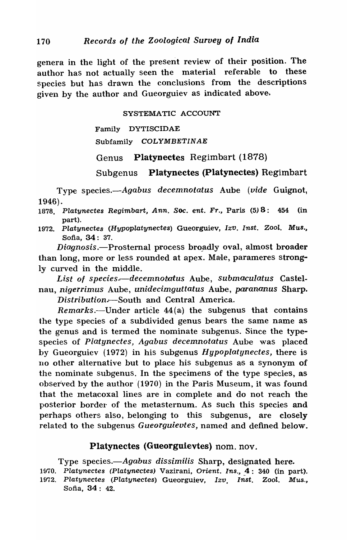genera in the light of the present review of their position. The author has not actually seen the material referable to these species but has drawn the conclusions from the descriptions given by the author and Gueorguiev as indicated above-.

SYSTEMATIC ACCOUNT

Family DYTISCIDAE Subfamily COLYMBETINAE

Genus Platynectes Regimbart (1878)

Subgenus Platynectes (Platynectes) Regimbart

Type *species.-Agabus decemnotatus* Aube *(vide* Guignot, 1946) .

- 1878. Platynectes Regimbart, Ann. Soc. ent. Fr., Paris (5) 8: 454 (in part).
- 1972. Platynectes (Hypoplatynectes) Gueorguiev, Izv. Inst. Zool. Mus., Sofia, 34: 37.

*Diagnosis.*—Prosternal process broadly oval, almost broader than long, more or less rounded at apex. Male, parameres strongly curved in the middle.

List of species.-decemnotatus Aube, *submaculatus* Castelnau, *nigerrimus* Aube, *unidecimguttatus* Aube, *parananus* Sharp.

*Distribution.*—South and Central America.

*Remarks.*—Under article 44(a) the subgenus that contains the type species of a subdivided genus bears the same name as the genus and is termed the nominate subgenus. Since the typespecies of *Platynectes, Agabus decemnotatus* Aube was placed by Gueorguiev (19'72) in his subgenus *Hypoplatynectes,* there is no other alternative but to place his subgenus as a synonym of the nominate subgenus. In the specimens of the type species, as observed by the author  $(1970)$  in the Paris Museum, it was found that the metacoxal lines are in complete and do not reach the posterior border of the metasternum. As such this species and perhaps others also, belonging to this subgenus, are closely related to the subgenus *Gueorguievtes,* named and defined below.

# Platynectes (Gueorguievtes) nom. nov.

Type species.—Agabus dissimilis Sharp, designated here.

- 1970. Platynectes (Platynectes) Vazirani, Orient. Ins., 4: 340 (in part).
- 1972. Platynectes (Platynectes) Gueorguiev, lzv. Inst. ZooI. Mus., Sofia, 34: 42.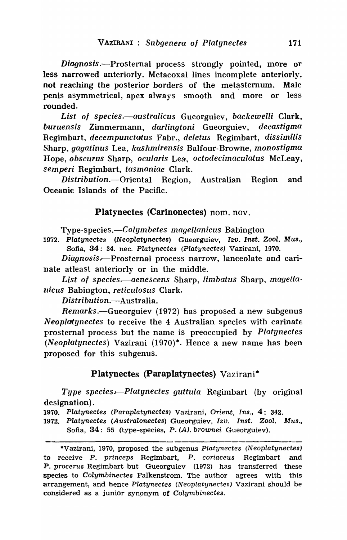*Diagnosis* .-Prosternal process strongly pointed, more or less narrowed anteriorly. Metacoxal lines incomplete anteriorly. not reaching the posterior borders of the metasternum. Male penis asymmetrical, apex always smooth and more or less rounded.

*List· of species.-australicus* Gueorguiev, *backewelli* Clark, *buruensis* Zimmermann, *darlingtoni* Gueorguiev, *decastigma*  Regimbart, *decempunctatus* Fabr., *deletus* Regimbart, *dissimilis*  Sharp, *gagatinus* Lea, *kashmirensis* Balfour-Browne, *monostigma*  llope, *obscurus* Sharp, *ocularis* Leal, *octodecinlaculatus* McLeay, *semperi* Regimbart, *tasmaniae* Clark.

*Distribution.*--Oriental Region, Australian Region and Oceanic Islands of the Pacific.

## Platynectes (Carinonectes) nom. nov.

*Type-species.-Colymbetes magellanicus* Babington

1972. Platynectes (Neoplatynectes) Gueorguiev, Izv. Inst. Zool. Mus., Sofia, 34: 34. nec. Platynectes (Platynectes) Vazirani, 1970.

*Diagnosis.,-Prosterna'l* process narrow, Ianceolate and carinate atleast anteriorly or in the' middle.

List of species.—aenescens Sharp, *limbatus* Sharp, *magellaldeus* Babington, *reticulosus* Clark.

*Distri bution.-Australia.* 

*Remarks.*—Gueorguiev (1972) has proposed a new subgenus *Neoplatynectes* to receive the 4 Australian species with carinate prosternaI process but the name is preoccupied by *Platgnectes (Neoplatynectes)* Vazirani (1970)\*. Hence a new name has been proposed for this subgenus.

Platynectes (Paraplatynectes) Vazirani\*

*Type species—Platynectes guttula* Regimbart (by original designation) .

1970. Platynectes (Paraplatynectes) Vazirani, Orient. Ins., 4: 342.

1972. Platynectes (Australonectes) Gueorguiev, Izo. Inst. Zool. Mus., Sofia, 34: 55 (type-species, P. (A). brownei Gueorguiev).

<sup>\*</sup>Vazirani, 1970, proposed the subgenus Platynectes (Neoplatynectes) to receive P. princeps Regimbart, P. coriaceus Regimbart and P. procerus Regimbart but Gueorguiev (1972) has transferred these species to Colymbinectes Falkenstrom. The author agrees with this arrangement, and hence Platynectes (Neoplatynectes) Vazirani should be considered as a junior synonym of Colymbinectes.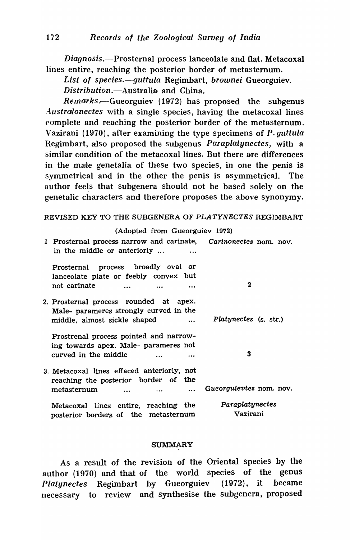Diagnosis.—Prosternal process lanceolate and flat. Metacoxal lines entire, reaching the posterior border of metasternum.

*List of species.-guttula* Regimbart, *brownei* Gueorguiev. *Distribution.-Australia,* and China.

*Remarks . .-Gueorguiev* (1972) has proposed the subgenus *Australonectes* with a single species, having the metacoxal lines complete and reaching the posterior border of the metasternum. Vazirani (1970), after examining the type specimens of P. *guttula*  Regimbart, aliso proposed the subgenus *Paraplatynectes,* with a similar condition of the metacoxal lines. But there are differences in the male genetalia of these two species, in one the penis is symmetrical and in the other the penis is asymmetrical. The author feels that subgenera should not be based solely on the genetalic characters and therefore proposes the above synonymy.

### REVISED KEY TO THE SUBGENERA OF PLATYNECTES REGIMBART

#### (Adopted from Gueorguiev 1972)

| 1 Prosternal process narrow and carinate, Carinonectes nom. nov.<br>in the middle or anteriorly |                         |
|-------------------------------------------------------------------------------------------------|-------------------------|
| Prosternal process broadly oval or                                                              |                         |
| lanceolate plate or feebly convex but                                                           |                         |
| not carinate<br>$\ddotsc$<br>$\ddotsc$<br>                                                      | 2                       |
| 2. Prosternal process rounded at apex.                                                          |                         |
| Male- parameres strongly curved in the                                                          |                         |
| middle, almost sickle shaped<br>$\ddotsc$                                                       | Platynectes (s. str.)   |
| Prostrenal process pointed and narrow-                                                          |                         |
| ing towards apex. Male- parameres not                                                           |                         |
| curved in the middle<br>$\ddotsc$                                                               | 3                       |
| 3. Metacoxal lines effaced anteriorly, not                                                      |                         |
| reaching the posterior border of the                                                            |                         |
| metasternum<br>$\ddotsc$<br>$\ddotsc$                                                           | Gueorguievtes nom. nov. |
| Metacoxal lines entire, reaching the                                                            | Paraplatynectes         |
| posterior borders of the metasternum                                                            | Vazirani                |

#### SUMMARY

As a result of the revision of the Oriental species by the author (1970) and that of the world species of the genus *Platynectes* Regimbart by Gueorguiev (1972), it became necessary to review and synthesise the subgenera, proposed